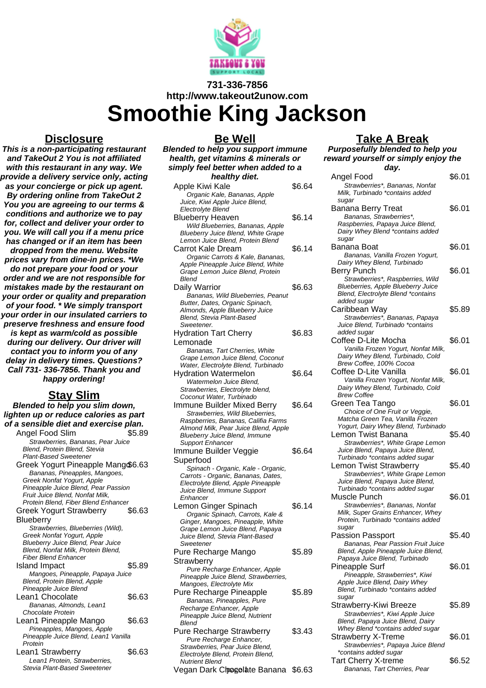

# **731-336-7856 http://www.takeout2unow.com**

**Smoothie King Jackson**

#### **Disclosure**

**This is a non-participating restaurant and TakeOut 2 You is not affiliated with this restaurant in any way. We provide a delivery service only, acting as your concierge or pick up agent. By ordering online from TakeOut 2 You you are agreeing to our terms & conditions and authorize we to pay for, collect and deliver your order to you. We will call you if a menu price has changed or if an item has been dropped from the menu. Website prices vary from dine-in prices. \*We do not prepare your food or your order and we are not responsible for mistakes made by the restaurant on your order or quality and preparation of your food. \* We simply transport your order in our insulated carriers to preserve freshness and ensure food is kept as warm/cold as possible during our delivery. Our driver will contact you to inform you of any delay in delivery times. Questions? Call 731- 336-7856. Thank you and happy ordering!**

## **Stay Slim**

**Blended to help you slim down, lighten up or reduce calories as part of a sensible diet and exercise plan.** Angel Food Slim \$5.89 Strawberries, Bananas, Pear Juice Blend, Protein Blend, Stevia Plant-Based Sweetener Greek Yogurt Pineapple Mang\$6.63 Bananas, Pineapples, Mangoes, Greek Nonfat Yogurt, Apple Pineapple Juice Blend, Pear Passion Fruit Juice Blend, Nonfat Milk, Protein Blend, Fiber Blend Enhancer Greek Yogurt Strawberry **Blueberry** \$6.63 Strawberries, Blueberries (Wild), Greek Nonfat Yogurt, Apple Blueberry Juice Blend, Pear Juice Blend, Nonfat Milk, Protein Blend, Fiber Blend Enhancer Island Impact \$5.89 Mangoes, Pineapple, Papaya Juice Blend, Protein Blend, Apple Pineapple Juice Blend Lean1 Chocolate \$6.63 Bananas, Almonds, Lean1 Chocolate Protein Lean1 Pineapple Mango \$6.63 Pineapples, Mangoes, Apple Pineapple Juice Blend, Lean1 Vanilla Protein Lean1 Strawberry \$6.63 Lean1 Protein, Strawberries, Stevia Plant-Based Sweetener

### **Be Well**

**Blended to help you support immune health, get vitamins & minerals or simply feel better when added to a healthy diet.** Apple Kiwi Kale \$6.64

| Apple Kiwi Kale                                                             | \$6.64 |
|-----------------------------------------------------------------------------|--------|
| Organic Kale, Bananas, Apple                                                |        |
| Juice, Kiwi Apple Juice Blend,                                              |        |
| Electrolyte Blend                                                           |        |
| <b>Blueberry Heaven</b>                                                     | \$6.14 |
| Wild Blueberries, Bananas, Apple<br>Blueberry Juice Blend, White Grape      |        |
| Lemon Juice Blend. Protein Blend                                            |        |
| Carrot Kale Dream                                                           | \$6.14 |
| Organic Carrots & Kale, Bananas,                                            |        |
| Apple Pineapple Juice Blend, White                                          |        |
| Grape Lemon Juice Blend, Protein                                            |        |
| Blend                                                                       |        |
| Daily Warrior                                                               | \$6.63 |
| Bananas, Wild Blueberries, Peanut                                           |        |
| Butter, Dates, Organic Spinach,                                             |        |
| Almonds, Apple Blueberry Juice<br>Blend, Stevia Plant-Based                 |        |
| Sweetener.                                                                  |        |
| <b>Hydration Tart Cherry</b>                                                | \$6.83 |
| Lemonade                                                                    |        |
| Bananas, Tart Cherries, White                                               |        |
| Grape Lemon Juice Blend, Coconut                                            |        |
| Water, Electrolyte Blend, Turbinado                                         |        |
| <b>Hydration Watermelon</b>                                                 | \$6.64 |
| Watermelon Juice Blend,                                                     |        |
| Strawberries, Electrolyte blend,                                            |        |
| Coconut Water, Turbinado                                                    |        |
| <b>Immune Builder Mixed Berry</b>                                           | \$6.64 |
| Strawberries, Wild Blueberries,                                             |        |
| Raspberries, Bananas, Califia Farms<br>Almond Milk, Pear Juice Blend, Apple |        |
| Blueberry Juice Blend, Immune                                               |        |
| <b>Support Enhancer</b>                                                     |        |
| Immune Builder Veggie                                                       | \$6.64 |
| Superfood                                                                   |        |
| Spinach - Organic, Kale - Organic,                                          |        |
| Carrots - Organic, Bananas, Dates,                                          |        |
| Electrolyte Blend, Apple Pineapple                                          |        |
| Juice Blend, Immune Support                                                 |        |
| Enhancer                                                                    | \$6.14 |
| Lemon Ginger Spinach<br>Organic Spinach, Carrots, Kale &                    |        |
| Ginger, Mangoes, Pineapple, White                                           |        |
| Grape Lemon Juice Blend, Papaya                                             |        |
| Juice Blend, Stevia Plant-Based                                             |        |
| Sweetener                                                                   |        |
| Pure Recharge Mango                                                         | \$5.89 |
| Strawberry                                                                  |        |
| Pure Recharge Enhancer, Apple                                               |        |
| Pineapple Juice Blend, Strawberries,                                        |        |
| Mangoes, Electrolyte Mix                                                    |        |
| Pure Recharge Pineapple<br>Bananas, Pineapples, Pure                        | \$5.89 |
| Recharge Enhancer, Apple                                                    |        |
| Pineapple Juice Blend, Nutrient                                             |        |
|                                                                             |        |
| <b>Blend</b>                                                                |        |
| Pure Recharge Strawberry                                                    | \$3.43 |
| Pure Recharge Enhancer,                                                     |        |
| Strawberries, Pear Juice Blend,                                             |        |
| Electrolyte Blend, Protein Blend,<br>Nutrient Blend                         |        |

Vegan Dark Chpagolate Banana \$6.63 Bananas, Tart Cherries, Pear **Take A Break Purposefully blended to help you reward yourself or simply enjoy the day.** Angel Food \$6.01 Strawberries\*, Bananas, Nonfat Milk, Turbinado \*contains added sugar Banana Berry Treat \$6.01 Bananas, Strawberries\*, Raspberries, Papaya Juice Blend, Dairy Whey Blend \*contains added sugar Banana Boat \$6.01 Bananas, Vanilla Frozen Yogurt, Dairy Whey Blend, Turbinado Berry Punch \$6.01 Strawberries\*, Raspberries, Wild Blueberries, Apple Blueberry Juice Blend, Electrolyte Blend \*contains added sugar Caribbean Way \$5.89 Strawberries\*, Bananas, Papaya Juice Blend, Turbinado \*contains added sugar Coffee D-Lite Mocha  $$6.01$ Vanilla Frozen Yogurt, Nonfat Milk, Dairy Whey Blend, Turbinado, Cold Brew Coffee, 100% Cocoa Coffee D-Lite Vanilla  $$6.01$ Vanilla Frozen Yogurt, Nonfat Milk, Dairy Whey Blend, Turbinado, Cold Brew Coffee Green Tea Tango \$6.01 Choice of One Fruit or Veggie, Matcha Green Tea, Vanilla Frozen Yogurt, Dairy Whey Blend, Turbinado Lemon Twist Banana \$5.40 Strawberries\*, White Grape Lemon Juice Blend, Papaya Juice Blend, Turbinado \*contains added sugar Lemon Twist Strawberry \$5.40 Strawberries\*, White Grape Lemon Juice Blend, Papaya Juice Blend, Turbinado \*contains added sugar Muscle Punch \$6.01 Strawberries\*, Bananas, Nonfat Milk, Super Grains Enhancer, Whey Protein, Turbinado \*contains added sugar Passion Passport \$5.40 Bananas, Pear Passion Fruit Juice Blend, Apple Pineapple Juice Blend, Papaya Juice Blend, Turbinado Pineapple Surf \$6.01 Pineapple, Strawberries\*, Kiwi Apple Juice Blend, Dairy Whey Blend, Turbinado \*contains added sugar Strawberry-Kiwi Breeze \$5.89 Strawberries\*, Kiwi Apple Juice Blend, Papaya Juice Blend, Dairy Whey Blend \*contains added sugar Strawberry X-Treme \$6.01 Strawberries\*, Papaya Juice Blend \*contains added sugar Tart Cherry X-treme \$6.52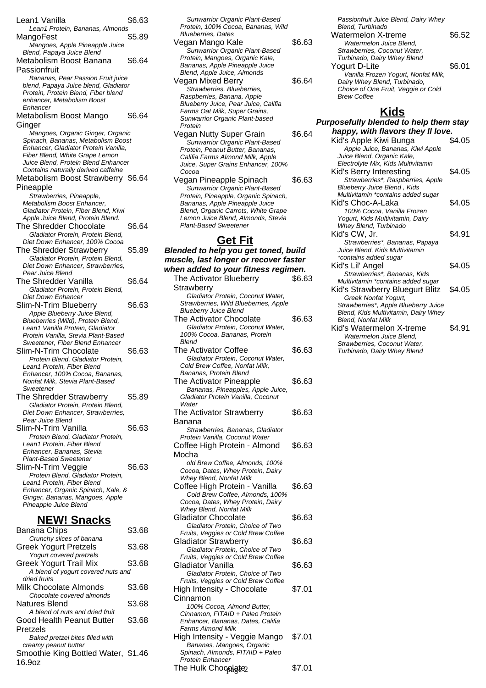Lean1 Vanilla  $$6.63$ Lean1 Protein, Bananas, Almonds MangoFest \$5.89 Mangoes, Apple Pineapple Juice Blend, Papaya Juice Blend Metabolism Boost Banana Passionfruit \$6.64 Bananas, Pear Passion Fruit juice blend, Papaya Juice blend, Gladiator Protein, Protein Blend, Fiber blend enhancer, Metabolism Boost Enhancer Metabolism Boost Mango Ginger \$6.64 Mangoes, Organic Ginger, Organic Spinach, Bananas, Metabolism Boost Enhancer, Gladiator Protein Vanilla, Fiber Blend, White Grape Lemon Juice Blend, Protein Blend Enhancer Contains naturally derived caffeine Metabolism Boost Strawberry \$6.64 Pineapple Strawberries, Pineapple, Metabolism Boost Enhancer, Gladiator Protein, Fiber Blend, Kiwi Apple Juice Blend, Protein Blend. The Shredder Chocolate \$6.64 Gladiator Protein, Protein Blend, Diet Down Enhancer, 100% Cocoa The Shredder Strawberry \$5.89 Gladiator Protein, Protein Blend, Diet Down Enhancer, Strawberries, Pear Juice Blend The Shredder Vanilla  $$6.64$ Gladiator Protein, Protein Blend, Diet Down Enhancer Slim-N-Trim Blueberry \$6.63 Apple Blueberry Juice Blend, Blueberries (Wild), Protein Blend, Lean1 Vanilla Protein, Gladiator Protein Vanilla, Stevia Plant-Based Sweetener, Fiber Blend Enhancer Slim-N-Trim Chocolate \$6.63 Protein Blend, Gladiator Protein, Lean1 Protein, Fiber Blend Enhancer, 100% Cocoa, Bananas, Nonfat Milk, Stevia Plant-Based **Sweetener** The Shredder Strawberry \$5.89 Gladiator Protein, Protein Blend, Diet Down Enhancer, Strawberries, Pear Juice Blend Slim-N-Trim Vanilla  $$6.63$ Protein Blend, Gladiator Protein, Lean1 Protein, Fiber Blend Enhancer, Bananas, Stevia Plant-Based Sweetener Slim-N-Trim Veggie  $$6.63$ Protein Blend, Gladiator Protein, Lean1 Protein, Fiber Blend Enhancer, Organic Spinach, Kale, & Ginger, Bananas, Mangoes, Apple Pineapple Juice Blend **NEW! Snacks** Banana Chips 63.68

| Crunchy slices of banana<br><b>Greek Yogurt Pretzels</b> | \$3.68 |
|----------------------------------------------------------|--------|
| Yogurt covered pretzels                                  |        |
| <b>Greek Yogurt Trail Mix</b>                            | \$3.68 |
| A blend of yogurt covered nuts and<br>dried fruits       |        |
| Milk Chocolate Almonds<br>Chocolate covered almonds      | \$3.68 |
| Natures Blend                                            | \$3.68 |
| A blend of nuts and dried fruit                          |        |
| Good Health Peanut Butter                                | \$3.68 |
| Pretzels                                                 |        |
| Baked pretzel bites filled with<br>creamy peanut butter  |        |
| Smoothie King Bottled Water, \$1.46<br>16.9oz            |        |
|                                                          |        |

Sunwarrior Organic Plant-Based Protein, 100% Cocoa, Bananas, Wild Blueberries, Dates Vegan Mango Kale **\$6.63** Sunwarrior Organic Plant-Based Protein, Mangoes, Organic Kale, Bananas, Apple Pineapple Juice Blend, Apple Juice, Almonds Vegan Mixed Berry \$6.64 Strawberries, Blueberries, Raspberries, Banana, Apple Blueberry Juice, Pear Juice, Califia Farms Oat Milk, Super Grains, Sunwarrior Organic Plant-based Protein Vegan Nutty Super Grain \$6.64 Sunwarrior Organic Plant-Based Protein, Peanut Butter, Bananas, Califia Farms Almond Milk, Apple Juice, Super Grains Enhancer, 100% Cocoa Vegan Pineapple Spinach \$6.63

Sunwarrior Organic Plant-Based Protein, Pineapple, Organic Spinach, Bananas, Apple Pineapple Juice Blend, Organic Carrots, White Grape Lemon Juice Blend, Almonds, Stevia Plant-Based Sweetener

#### **Get Fit Blended to help you get toned, build muscle, last longer or recover faster when added to your fitness regimen.** The Activator Blueberry **Strawberry** \$6.63 Gladiator Protein, Coconut Water, Strawberries, Wild Blueberries, Apple Blueberry Juice Blend The Activator Chocolate \$6.63 Gladiator Protein, Coconut Water, 100% Cocoa, Bananas, Protein Blend The Activator Coffee \$6.63 Gladiator Protein, Coconut Water, Cold Brew Coffee, Nonfat Milk, Bananas, Protein Blend The Activator Pineapple \$6.63 Bananas, Pineapples, Apple Juice, Gladiator Protein Vanilla, Coconut **Water** The Activator Strawberry Banana \$6.63 Strawberries, Bananas, Gladiator Protein Vanilla, Coconut Water Coffee High Protein - Almond Mocha \$6.63 old Brew Coffee, Almonds, 100% Cocoa, Dates, Whey Protein, Dairy Whey Blend, Nonfat Milk Coffee High Protein - Vanilla \$6.63 Cold Brew Coffee, Almonds, 100% Cocoa, Dates, Whey Protein, Dairy Whey Blend, Nonfat Milk Gladiator Chocolate \$6.63 Gladiator Protein, Choice of Two Fruits, Veggies or Cold Brew Coffee Gladiator Strawberry \$6.63 Gladiator Protein, Choice of Two Fruits, Veggies or Cold Brew Coffee Gladiator Vanilla  $$6.63$ Gladiator Protein, Choice of Two Fruits, Veggies or Cold Brew Coffee High Intensity - Chocolate \$7.01

Cinnamon

Farms Almond Milk

Protein Enhance

100% Cocoa, Almond Butter, Cinnamon, FITAID + Paleo Protein Enhancer, Bananas, Dates, Califia

High Intensity - Veggie Mango \$7.01 Bananas, Mangoes, Organic Spinach, Almonds, FITAID + Paleo

The Hulk Chocolate 2 (\$7.01

Passionfruit Juice Blend, Dairy Whey Blend, Turbinado Watermelon X-treme \$6.52 Watermelon Juice Blend, Strawberries, Coconut Water, Turbinado, Dairy Whey Blend Yogurt D-Lite \$6.01 Vanilla Frozen Yogurt, Nonfat Milk, Dairy Whey Blend, Turbinado, Choice of One Fruit, Veggie or Cold

**Kids**

Brew Coffee

| Purposefully blended to help them stay |        |  |
|----------------------------------------|--------|--|
| happy, with flavors they II love.      |        |  |
| Kid's Apple Kiwi Bunga                 | \$4.05 |  |
| Apple Juice, Bananas, Kiwi Apple       |        |  |
| Juice Blend, Organic Kale,             |        |  |
| Electrolyte Mix, Kids Multivitamin     |        |  |
| Kid's Berry Interesting                | \$4.05 |  |
| Strawberries*, Raspberries, Apple      |        |  |
| Blueberry Juice Blend, Kids            |        |  |
| Multivitamin *contains added sugar     |        |  |
| Kid's Choc-A-Laka                      | \$4.05 |  |
| 100% Cocoa, Vanilla Frozen             |        |  |
| Yogurt, Kids Multivitamin, Dairy       |        |  |
| Whey Blend, Turbinado                  |        |  |
| Kid's CW, Jr.                          | \$4.91 |  |
| Strawberries*, Bananas, Papaya         |        |  |
| Juice Blend, Kids Multivitamin         |        |  |
| *contains added sugar                  |        |  |
| Kid's Lil' Angel                       | \$4.05 |  |
| Strawberries*, Bananas, Kids           |        |  |
| Multivitamin *contains added sugar     |        |  |
| Kid's Strawberry Bluegurt Blitz        | \$4.05 |  |
| Greek Nonfat Yogurt,                   |        |  |
| Strawberries*, Apple Blueberry Juice   |        |  |
| Blend, Kids Multivitamin, Dairy Whey   |        |  |
| <b>Blend, Nonfat Milk</b>              |        |  |
| Kid's Watermelon X-treme               | \$4.91 |  |
| Watermelon Juice Blend.                |        |  |
| Strawberries, Coconut Water,           |        |  |
| Turbinado, Dairy Whey Blend            |        |  |